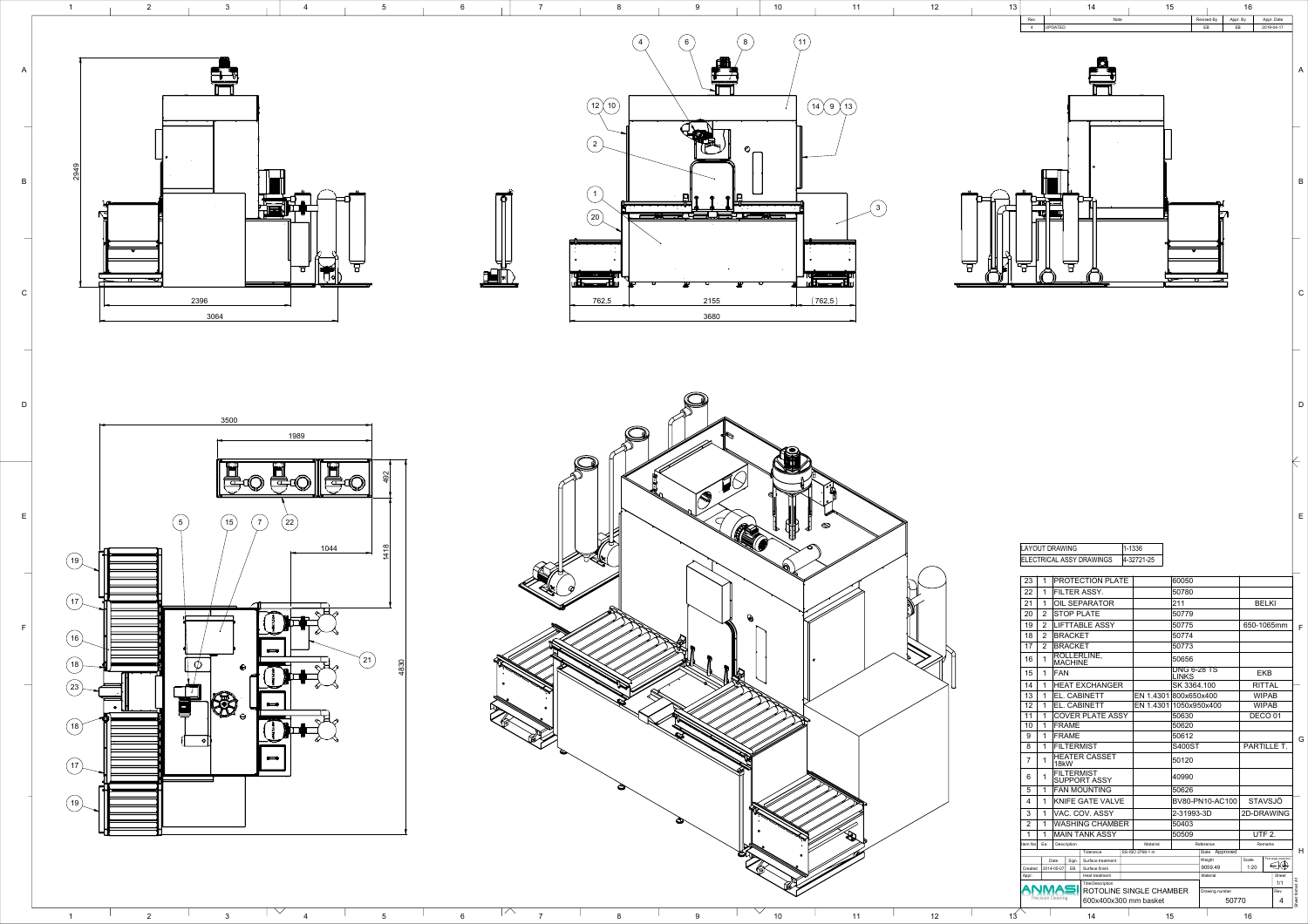





|         | <b>LAYOUT DRAWING</b>                                                                                                                         |                                         |                    |                          |                                     |  | 1-1336                  |                        |                                    |                   |                    |                        |                 |
|---------|-----------------------------------------------------------------------------------------------------------------------------------------------|-----------------------------------------|--------------------|--------------------------|-------------------------------------|--|-------------------------|------------------------|------------------------------------|-------------------|--------------------|------------------------|-----------------|
|         |                                                                                                                                               |                                         |                    |                          | ELECTRICAL ASSY DRAWINGS            |  | 4-32721-25              |                        |                                    |                   |                    |                        |                 |
|         |                                                                                                                                               |                                         |                    |                          |                                     |  |                         |                        |                                    |                   |                    |                        |                 |
|         | 23                                                                                                                                            | 1                                       |                    |                          | PROTECTION PLATE                    |  |                         |                        | 60050                              |                   |                    |                        |                 |
|         | 22                                                                                                                                            | 1                                       |                    |                          | FILTER ASSY.                        |  |                         | 50780                  |                                    |                   |                    |                        |                 |
|         | 21<br><b>OIL SEPARATOR</b><br>1<br>20<br>$\overline{2}$<br><b>STOP PLATE</b>                                                                  |                                         |                    |                          |                                     |  |                         | 211                    |                                    |                   | <b>BELKI</b>       |                        |                 |
|         |                                                                                                                                               |                                         |                    |                          |                                     |  |                         | 50779                  |                                    |                   |                    |                        |                 |
|         | 19                                                                                                                                            | $\overline{2}$<br><b>LIFTTABLE ASSY</b> |                    |                          |                                     |  |                         |                        | 50775                              |                   |                    | 650-1065mm             | F               |
|         | 18                                                                                                                                            | $\overline{2}$                          |                    | <b>BRACKET</b>           |                                     |  |                         |                        | 50774                              |                   |                    |                        |                 |
|         | 17                                                                                                                                            | $\overline{2}$                          |                    | <b>BRACKET</b>           |                                     |  |                         |                        | 50773                              |                   |                    |                        |                 |
|         | 16                                                                                                                                            | 1                                       |                    | <b>MACHINE</b>           | ROLLERLINE,                         |  | 50656                   |                        |                                    |                   |                    |                        |                 |
|         | 15                                                                                                                                            | <b>FAN</b><br>$\mathbf 1$               |                    |                          |                                     |  |                         |                        | <b>DNG 6-28 TS</b><br><b>LINKS</b> |                   | <b>EKB</b>         |                        |                 |
|         | 14<br><b>HEAT EXCHANGER</b><br>1                                                                                                              |                                         |                    |                          |                                     |  |                         | SK 3364.100            |                                    | <b>RITTAL</b>     |                    |                        |                 |
|         | 13                                                                                                                                            | EL. CABINETT<br>1                       |                    |                          |                                     |  |                         | EN 1.4301 800x650x400  |                                    |                   | <b>WIPAB</b>       |                        |                 |
| 12<br>1 |                                                                                                                                               |                                         |                    |                          | EL. CABINETT                        |  |                         | EN 1.4301 1050x950x400 |                                    | <b>WIPAB</b>      |                    |                        |                 |
|         | 11                                                                                                                                            | <b>COVER PLATE ASSY</b><br>1            |                    |                          |                                     |  |                         | 50630                  |                                    |                   | DECO <sub>01</sub> |                        |                 |
|         | 10                                                                                                                                            | 1                                       | <b>FRAME</b>       |                          |                                     |  |                         |                        | 50620                              |                   |                    |                        |                 |
|         | 9                                                                                                                                             | 1                                       |                    | <b>FRAME</b>             |                                     |  |                         | 50612                  |                                    |                   |                    | G                      |                 |
|         | 8                                                                                                                                             | $\mathbf 1$                             | <b>FILTERMIST</b>  |                          |                                     |  |                         |                        | <b>S400ST</b>                      |                   |                    | <b>PARTILLE T.</b>     |                 |
|         | $\overline{7}$                                                                                                                                | 1                                       | 18kW               |                          | <b>HEATER CASSET</b>                |  |                         |                        | 50120                              |                   |                    |                        |                 |
|         | <b>FILTERMIST</b><br>6<br>1<br><b>SUPPORT ASSY</b><br>$\overline{\phantom{0}}$<br><b>FAN MOUNTING</b><br>$\mathbf 1$<br>$\mathbf b$           |                                         |                    |                          |                                     |  |                         |                        | 40990                              |                   |                    |                        |                 |
|         |                                                                                                                                               |                                         |                    |                          |                                     |  |                         | 50626                  |                                    |                   |                    |                        |                 |
|         | 4                                                                                                                                             | <b>KNIFE GATE VALVE</b><br>1            |                    |                          |                                     |  |                         |                        | BV80-PN10-AC100                    |                   | <b>STAVSJÖ</b>     |                        |                 |
|         | 3<br>VAC. COV. ASSY<br>1<br><b>WASHING CHAMBER</b><br>$\overline{2}$<br>1<br>1<br><b>MAIN TANK ASSY</b><br>1<br>Ea.<br>Description<br>Item No |                                         |                    |                          |                                     |  | 2-31993-3D              |                        | 2D-DRAWING                         |                   |                    |                        |                 |
|         |                                                                                                                                               |                                         |                    |                          |                                     |  |                         | 50403                  |                                    |                   |                    |                        |                 |
|         |                                                                                                                                               |                                         |                    |                          |                                     |  | 50509<br>Reference      |                        | <b>UTF 2.</b><br>Remarks           |                   |                    |                        |                 |
|         |                                                                                                                                               |                                         |                    |                          | Material                            |  |                         |                        |                                    |                   |                    |                        |                 |
|         |                                                                                                                                               |                                         |                    |                          | Tolerance                           |  | SS-ISO 2768-1 m         |                        |                                    | State Approved    |                    | First angle projection | H               |
|         | Created                                                                                                                                       |                                         | Date<br>2014-05-07 | Sign.<br>EВ              | Surface treatment<br>Surface finish |  |                         |                        |                                    | Weight<br>9059.49 | Scale<br>1:20      | $\Theta$               |                 |
| Appr.   |                                                                                                                                               |                                         |                    |                          | Heat treatment                      |  |                         |                        |                                    | Material          |                    | Sheet                  |                 |
|         |                                                                                                                                               |                                         |                    | <b>Title/Description</b> |                                     |  |                         |                        |                                    |                   |                    |                        |                 |
|         |                                                                                                                                               | Precision Cleaning                      |                    |                          |                                     |  | ROTOLINE SINGLE CHAMBER |                        |                                    | Drawing number    |                    |                        |                 |
|         |                                                                                                                                               |                                         |                    |                          | 600x400x300 mm basket               |  |                         |                        |                                    | 50770             |                    | 4                      | Sheet format A1 |
|         |                                                                                                                                               |                                         | 14                 | 15                       |                                     |  |                         |                        | 16                                 |                   |                    |                        |                 |

A

B

C

D

E



E

B

A

C

D

1 2 3 4 5 6 7 8 9 10 11 12 13 14 15 16